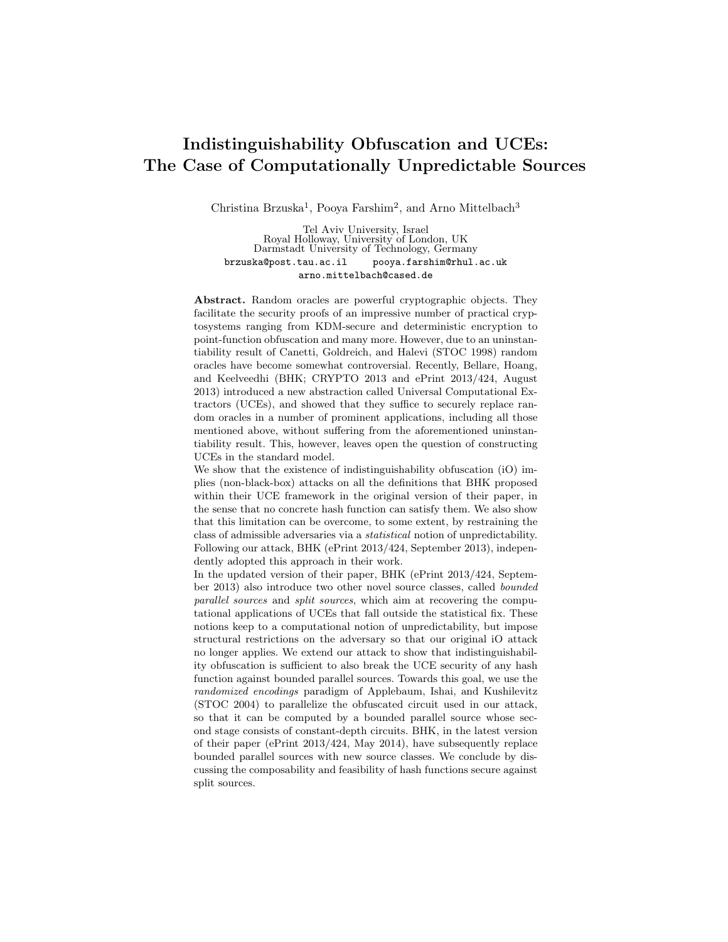# Indistinguishability Obfuscation and UCEs: The Case of Computationally Unpredictable Sources

Christina Brzuska<sup>1</sup>, Pooya Farshim<sup>2</sup>, and Arno Mittelbach<sup>3</sup>

Tel Aviv University, Israel Royal Holloway, University of London, UK Darmstadt University of Technology, Germany brzuska@post.tau.ac.il pooya.farshim@rhul.ac.uk arno.mittelbach@cased.de

Abstract. Random oracles are powerful cryptographic objects. They facilitate the security proofs of an impressive number of practical cryptosystems ranging from KDM-secure and deterministic encryption to point-function obfuscation and many more. However, due to an uninstantiability result of Canetti, Goldreich, and Halevi (STOC 1998) random oracles have become somewhat controversial. Recently, Bellare, Hoang, and Keelveedhi (BHK; CRYPTO 2013 and ePrint 2013/424, August 2013) introduced a new abstraction called Universal Computational Extractors (UCEs), and showed that they suffice to securely replace random oracles in a number of prominent applications, including all those mentioned above, without suffering from the aforementioned uninstantiability result. This, however, leaves open the question of constructing UCEs in the standard model.

We show that the existence of indistinguishability obfuscation (iO) implies (non-black-box) attacks on all the definitions that BHK proposed within their UCE framework in the original version of their paper, in the sense that no concrete hash function can satisfy them. We also show that this limitation can be overcome, to some extent, by restraining the class of admissible adversaries via a statistical notion of unpredictability. Following our attack, BHK (ePrint 2013/424, September 2013), independently adopted this approach in their work.

In the updated version of their paper, BHK (ePrint 2013/424, September 2013) also introduce two other novel source classes, called bounded parallel sources and split sources, which aim at recovering the computational applications of UCEs that fall outside the statistical fix. These notions keep to a computational notion of unpredictability, but impose structural restrictions on the adversary so that our original iO attack no longer applies. We extend our attack to show that indistinguishability obfuscation is sufficient to also break the UCE security of any hash function against bounded parallel sources. Towards this goal, we use the randomized encodings paradigm of Applebaum, Ishai, and Kushilevitz (STOC 2004) to parallelize the obfuscated circuit used in our attack, so that it can be computed by a bounded parallel source whose second stage consists of constant-depth circuits. BHK, in the latest version of their paper (ePrint 2013/424, May 2014), have subsequently replace bounded parallel sources with new source classes. We conclude by discussing the composability and feasibility of hash functions secure against split sources.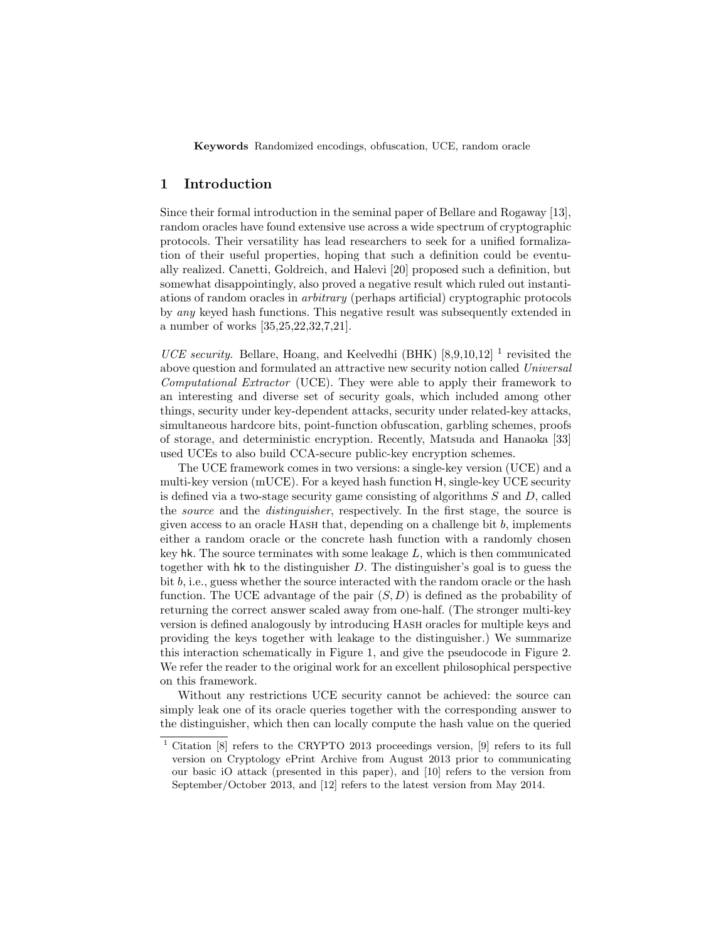Keywords Randomized encodings, obfuscation, UCE, random oracle

## 1 Introduction

Since their formal introduction in the seminal paper of Bellare and Rogaway [13], random oracles have found extensive use across a wide spectrum of cryptographic protocols. Their versatility has lead researchers to seek for a unified formalization of their useful properties, hoping that such a definition could be eventually realized. Canetti, Goldreich, and Halevi [20] proposed such a definition, but somewhat disappointingly, also proved a negative result which ruled out instantiations of random oracles in arbitrary (perhaps artificial) cryptographic protocols by any keyed hash functions. This negative result was subsequently extended in a number of works [35,25,22,32,7,21].

UCE security. Bellare, Hoang, and Keelvedhi (BHK) [8,9,10,12]<sup>1</sup> revisited the above question and formulated an attractive new security notion called Universal Computational Extractor (UCE). They were able to apply their framework to an interesting and diverse set of security goals, which included among other things, security under key-dependent attacks, security under related-key attacks, simultaneous hardcore bits, point-function obfuscation, garbling schemes, proofs of storage, and deterministic encryption. Recently, Matsuda and Hanaoka [33] used UCEs to also build CCA-secure public-key encryption schemes.

The UCE framework comes in two versions: a single-key version (UCE) and a multi-key version (mUCE). For a keyed hash function H, single-key UCE security is defined via a two-stage security game consisting of algorithms S and D, called the source and the distinguisher, respectively. In the first stage, the source is given access to an oracle HASH that, depending on a challenge bit  $b$ , implements either a random oracle or the concrete hash function with a randomly chosen key  $h$ k. The source terminates with some leakage  $L$ , which is then communicated together with hk to the distinguisher  $D$ . The distinguisher's goal is to guess the bit b, i.e., guess whether the source interacted with the random oracle or the hash function. The UCE advantage of the pair  $(S, D)$  is defined as the probability of returning the correct answer scaled away from one-half. (The stronger multi-key version is defined analogously by introducing Hash oracles for multiple keys and providing the keys together with leakage to the distinguisher.) We summarize this interaction schematically in Figure 1, and give the pseudocode in Figure 2. We refer the reader to the original work for an excellent philosophical perspective on this framework.

Without any restrictions UCE security cannot be achieved: the source can simply leak one of its oracle queries together with the corresponding answer to the distinguisher, which then can locally compute the hash value on the queried

<sup>&</sup>lt;sup>1</sup> Citation [8] refers to the CRYPTO 2013 proceedings version, [9] refers to its full version on Cryptology ePrint Archive from August 2013 prior to communicating our basic iO attack (presented in this paper), and [10] refers to the version from September/October 2013, and [12] refers to the latest version from May 2014.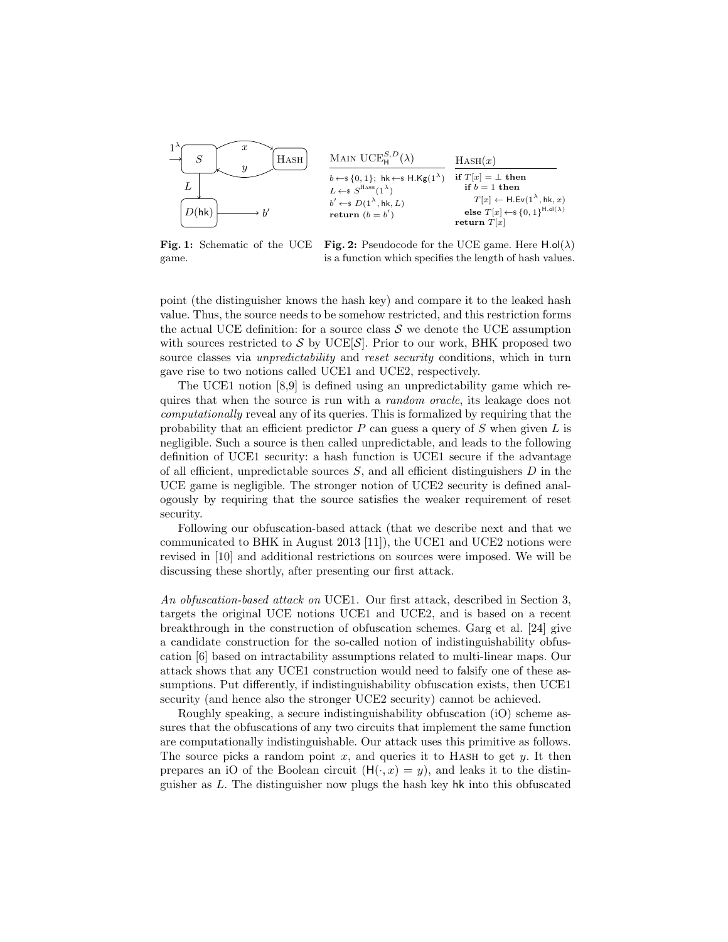

Fig. 1: Schematic of the UCE game.

Fig. 2: Pseudocode for the UCE game. Here  $H \cdot ol(\lambda)$ is a function which specifies the length of hash values.

point (the distinguisher knows the hash key) and compare it to the leaked hash value. Thus, the source needs to be somehow restricted, and this restriction forms the actual UCE definition: for a source class  $S$  we denote the UCE assumption with sources restricted to  $S$  by UCE $[S]$ . Prior to our work, BHK proposed two source classes via *unpredictability* and *reset security* conditions, which in turn gave rise to two notions called UCE1 and UCE2, respectively.

The UCE1 notion [8,9] is defined using an unpredictability game which requires that when the source is run with a random oracle, its leakage does not computationally reveal any of its queries. This is formalized by requiring that the probability that an efficient predictor  $P$  can guess a query of  $S$  when given  $L$  is negligible. Such a source is then called unpredictable, and leads to the following definition of UCE1 security: a hash function is UCE1 secure if the advantage of all efficient, unpredictable sources  $S$ , and all efficient distinguishers  $D$  in the UCE game is negligible. The stronger notion of UCE2 security is defined analogously by requiring that the source satisfies the weaker requirement of reset security.

Following our obfuscation-based attack (that we describe next and that we communicated to BHK in August 2013 [11]), the UCE1 and UCE2 notions were revised in [10] and additional restrictions on sources were imposed. We will be discussing these shortly, after presenting our first attack.

An obfuscation-based attack on UCE1. Our first attack, described in Section 3, targets the original UCE notions UCE1 and UCE2, and is based on a recent breakthrough in the construction of obfuscation schemes. Garg et al. [24] give a candidate construction for the so-called notion of indistinguishability obfuscation [6] based on intractability assumptions related to multi-linear maps. Our attack shows that any UCE1 construction would need to falsify one of these assumptions. Put differently, if indistinguishability obfuscation exists, then UCE1 security (and hence also the stronger UCE2 security) cannot be achieved.

Roughly speaking, a secure indistinguishability obfuscation (iO) scheme assures that the obfuscations of any two circuits that implement the same function are computationally indistinguishable. Our attack uses this primitive as follows. The source picks a random point x, and queries it to HASH to get  $y$ . It then prepares an iO of the Boolean circuit  $(H(\cdot, x) = y)$ , and leaks it to the distinguisher as L. The distinguisher now plugs the hash key hk into this obfuscated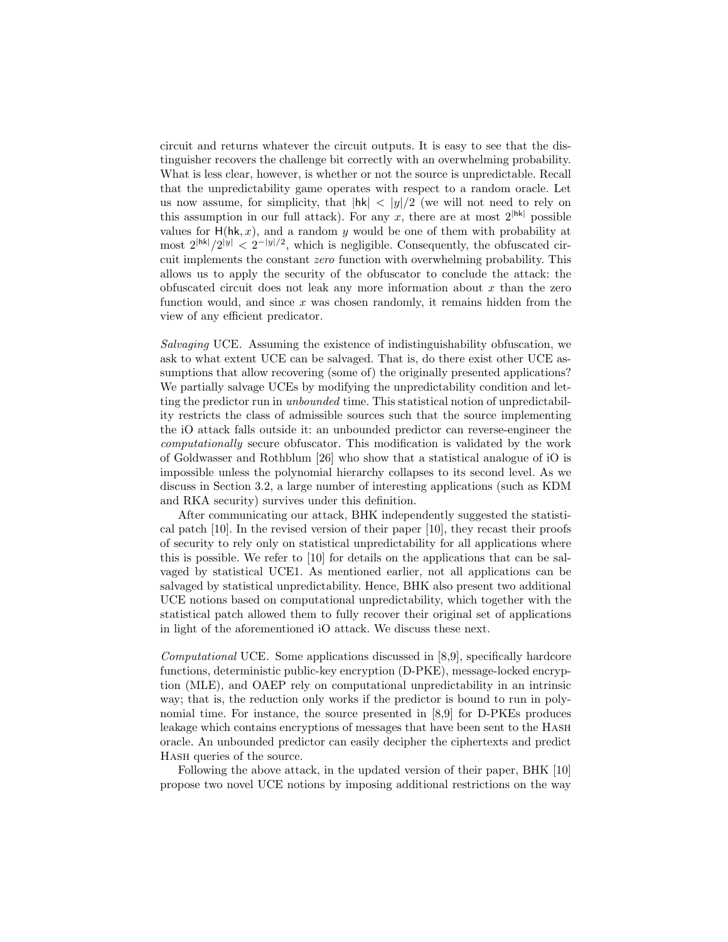circuit and returns whatever the circuit outputs. It is easy to see that the distinguisher recovers the challenge bit correctly with an overwhelming probability. What is less clear, however, is whether or not the source is unpredictable. Recall that the unpredictability game operates with respect to a random oracle. Let us now assume, for simplicity, that  $|h\mathbf{k}| < |y|/2$  (we will not need to rely on this assumption in our full attack). For any x, there are at most  $2^{|h\mathsf{k}|}$  possible values for  $H(hk, x)$ , and a random y would be one of them with probability at most  $2^{|hk|}/2^{|y|} < 2^{-|y|/2}$ , which is negligible. Consequently, the obfuscated circuit implements the constant zero function with overwhelming probability. This allows us to apply the security of the obfuscator to conclude the attack: the obfuscated circuit does not leak any more information about  $x$  than the zero function would, and since  $x$  was chosen randomly, it remains hidden from the view of any efficient predicator.

Salvaging UCE. Assuming the existence of indistinguishability obfuscation, we ask to what extent UCE can be salvaged. That is, do there exist other UCE assumptions that allow recovering (some of) the originally presented applications? We partially salvage UCEs by modifying the unpredictability condition and letting the predictor run in unbounded time. This statistical notion of unpredictability restricts the class of admissible sources such that the source implementing the iO attack falls outside it: an unbounded predictor can reverse-engineer the computationally secure obfuscator. This modification is validated by the work of Goldwasser and Rothblum [26] who show that a statistical analogue of iO is impossible unless the polynomial hierarchy collapses to its second level. As we discuss in Section 3.2, a large number of interesting applications (such as KDM and RKA security) survives under this definition.

After communicating our attack, BHK independently suggested the statistical patch [10]. In the revised version of their paper [10], they recast their proofs of security to rely only on statistical unpredictability for all applications where this is possible. We refer to [10] for details on the applications that can be salvaged by statistical UCE1. As mentioned earlier, not all applications can be salvaged by statistical unpredictability. Hence, BHK also present two additional UCE notions based on computational unpredictability, which together with the statistical patch allowed them to fully recover their original set of applications in light of the aforementioned iO attack. We discuss these next.

Computational UCE. Some applications discussed in [8,9], specifically hardcore functions, deterministic public-key encryption (D-PKE), message-locked encryption (MLE), and OAEP rely on computational unpredictability in an intrinsic way; that is, the reduction only works if the predictor is bound to run in polynomial time. For instance, the source presented in [8,9] for D-PKEs produces leakage which contains encryptions of messages that have been sent to the Hash oracle. An unbounded predictor can easily decipher the ciphertexts and predict Hash queries of the source.

Following the above attack, in the updated version of their paper, BHK [10] propose two novel UCE notions by imposing additional restrictions on the way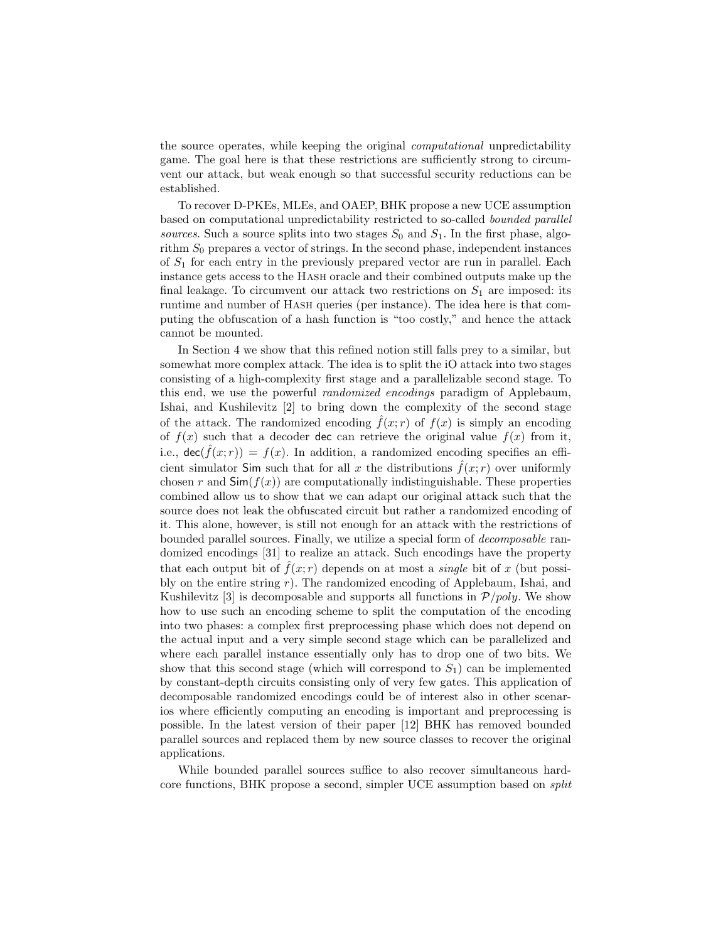the source operates, while keeping the original computational unpredictability game. The goal here is that these restrictions are sufficiently strong to circumvent our attack, but weak enough so that successful security reductions can be established.

To recover D-PKEs, MLEs, and OAEP, BHK propose a new UCE assumption based on computational unpredictability restricted to so-called bounded parallel sources. Such a source splits into two stages  $S_0$  and  $S_1$ . In the first phase, algorithm  $S_0$  prepares a vector of strings. In the second phase, independent instances of  $S_1$  for each entry in the previously prepared vector are run in parallel. Each instance gets access to the Hash oracle and their combined outputs make up the final leakage. To circumvent our attack two restrictions on  $S_1$  are imposed: its runtime and number of HASH queries (per instance). The idea here is that computing the obfuscation of a hash function is "too costly," and hence the attack cannot be mounted.

In Section 4 we show that this refined notion still falls prey to a similar, but somewhat more complex attack. The idea is to split the iO attack into two stages consisting of a high-complexity first stage and a parallelizable second stage. To this end, we use the powerful randomized encodings paradigm of Applebaum, Ishai, and Kushilevitz [2] to bring down the complexity of the second stage of the attack. The randomized encoding  $f(x; r)$  of  $f(x)$  is simply an encoding of  $f(x)$  such that a decoder dec can retrieve the original value  $f(x)$  from it, i.e.,  $\det(\hat{f}(x; r)) = f(x)$ . In addition, a randomized encoding specifies an efficient simulator Sim such that for all x the distributions  $\hat{f}(x; r)$  over uniformly chosen r and  $\text{Sim}(f(x))$  are computationally indistinguishable. These properties combined allow us to show that we can adapt our original attack such that the source does not leak the obfuscated circuit but rather a randomized encoding of it. This alone, however, is still not enough for an attack with the restrictions of bounded parallel sources. Finally, we utilize a special form of decomposable randomized encodings [31] to realize an attack. Such encodings have the property that each output bit of  $\hat{f}(x; r)$  depends on at most a *single* bit of x (but possibly on the entire string  $r$ ). The randomized encoding of Applebaum, Ishai, and Kushilevitz [3] is decomposable and supports all functions in  $\mathcal{P}/poly$ . We show how to use such an encoding scheme to split the computation of the encoding into two phases: a complex first preprocessing phase which does not depend on the actual input and a very simple second stage which can be parallelized and where each parallel instance essentially only has to drop one of two bits. We show that this second stage (which will correspond to  $S_1$ ) can be implemented by constant-depth circuits consisting only of very few gates. This application of decomposable randomized encodings could be of interest also in other scenarios where efficiently computing an encoding is important and preprocessing is possible. In the latest version of their paper [12] BHK has removed bounded parallel sources and replaced them by new source classes to recover the original applications.

While bounded parallel sources suffice to also recover simultaneous hardcore functions, BHK propose a second, simpler UCE assumption based on split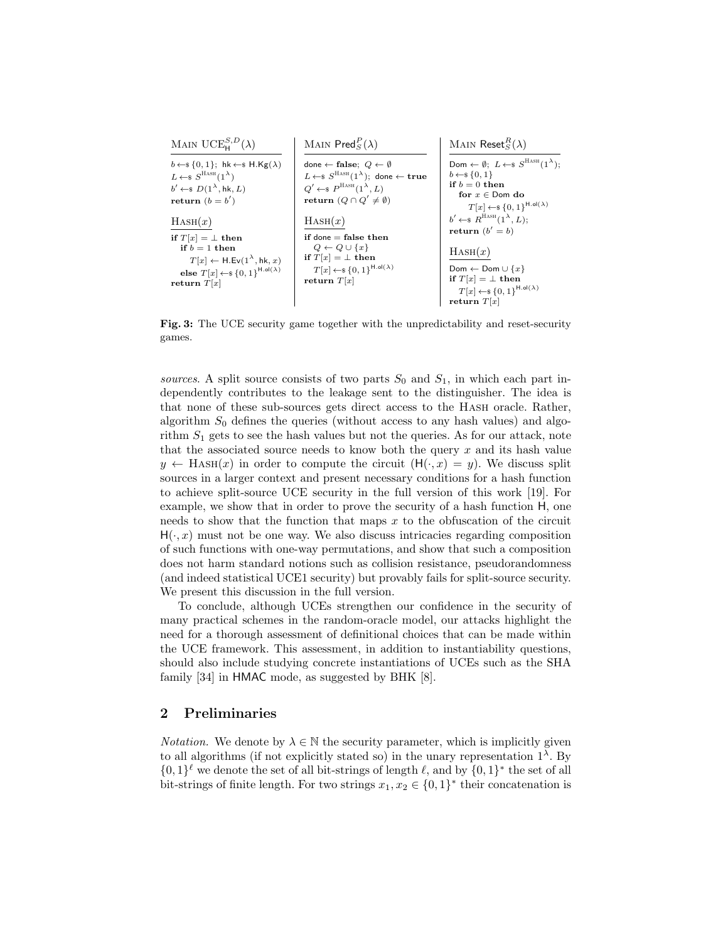| MAIN UCE <sub>H</sub> <sup>S,D</sup> ( $\lambda$ )                                                                                                                               | MAIN Pred $^P_S(\lambda)$                                                                                                                                                                                         | MAIN Reset ${}_{S}^{R}(\lambda)$<br>Dom $\leftarrow \emptyset$ ; $L \leftarrow \$ S^{HASH}(1^{\lambda})$ ;<br>$b \leftarrow s \{0, 1\}$<br>if $b=0$ then<br>for $x \in$ Dom do<br>$T[x] \leftarrow \{0,1\}^{\text{H.ol}(\lambda)}$ |
|----------------------------------------------------------------------------------------------------------------------------------------------------------------------------------|-------------------------------------------------------------------------------------------------------------------------------------------------------------------------------------------------------------------|------------------------------------------------------------------------------------------------------------------------------------------------------------------------------------------------------------------------------------|
| $b \leftarrow s \{0, 1\}$ ; hk $\leftarrow s$ H.Kg( $\lambda$ )<br>$L \leftarrow s S^{HASH}(1^{\lambda})$<br>$b' \leftarrow$ $D(1^{\lambda}, \text{hk}, L)$<br>return $(b = b')$ | done $\leftarrow$ false; $Q \leftarrow \emptyset$<br>$L \leftarrow$ $S^{HASH}(1^{\lambda})$ ; done $\leftarrow$ true<br>$Q' \leftarrow \$ P^{\text{HASH}}(1^{\lambda}, L)$<br>return $(Q \cap Q' \neq \emptyset)$ |                                                                                                                                                                                                                                    |
| HASH(x)<br>if $T[x] = \perp$ then<br>if $b=1$ then<br>$T[x] \leftarrow H.Ev(1^{\lambda}, hk, x)$<br>else $T[x] \leftarrow \{0, 1\}^{\text{H.ol}(\lambda)}$<br>return $T[x]$      | HASH(x)<br>if done $=$ false then<br>$Q \leftarrow Q \cup \{x\}$<br>if $T[x] = \perp$ then<br>$T[x] \leftarrow \{0,1\}^{\text{H.ol}(\lambda)}$<br>return $T[x]$                                                   | $b' \leftarrow \mathcal{B} R^{HASH}(1^{\lambda}, L);$<br>return $(b' = b)$<br>HASH(x)<br>Dom $\leftarrow$ Dom $\cup \{x\}$<br>if $T[x] = \perp$ then<br>$T[x] \leftarrow \{0,1\}^{\text{H_o}(x)}$<br>return $T[x]$                 |

Fig. 3: The UCE security game together with the unpredictability and reset-security games.

sources. A split source consists of two parts  $S_0$  and  $S_1$ , in which each part independently contributes to the leakage sent to the distinguisher. The idea is that none of these sub-sources gets direct access to the Hash oracle. Rather, algorithm  $S_0$  defines the queries (without access to any hash values) and algorithm  $S_1$  gets to see the hash values but not the queries. As for our attack, note that the associated source needs to know both the query  $x$  and its hash value  $y \leftarrow$  HASH $(x)$  in order to compute the circuit  $(H(\cdot, x) = y)$ . We discuss split sources in a larger context and present necessary conditions for a hash function to achieve split-source UCE security in the full version of this work [19]. For example, we show that in order to prove the security of a hash function H, one needs to show that the function that maps  $x$  to the obfuscation of the circuit  $H(\cdot, x)$  must not be one way. We also discuss intricacies regarding composition of such functions with one-way permutations, and show that such a composition does not harm standard notions such as collision resistance, pseudorandomness (and indeed statistical UCE1 security) but provably fails for split-source security. We present this discussion in the full version.

To conclude, although UCEs strengthen our confidence in the security of many practical schemes in the random-oracle model, our attacks highlight the need for a thorough assessment of definitional choices that can be made within the UCE framework. This assessment, in addition to instantiability questions, should also include studying concrete instantiations of UCEs such as the SHA family [34] in HMAC mode, as suggested by BHK [8].

## 2 Preliminaries

*Notation*. We denote by  $\lambda \in \mathbb{N}$  the security parameter, which is implicitly given to all algorithms (if not explicitly stated so) in the unary representation  $1^{\lambda}$ . By  $\{0,1\}^{\ell}$  we denote the set of all bit-strings of length  $\ell$ , and by  $\{0,1\}^*$  the set of all bit-strings of finite length. For two strings  $x_1, x_2 \in \{0, 1\}^*$  their concatenation is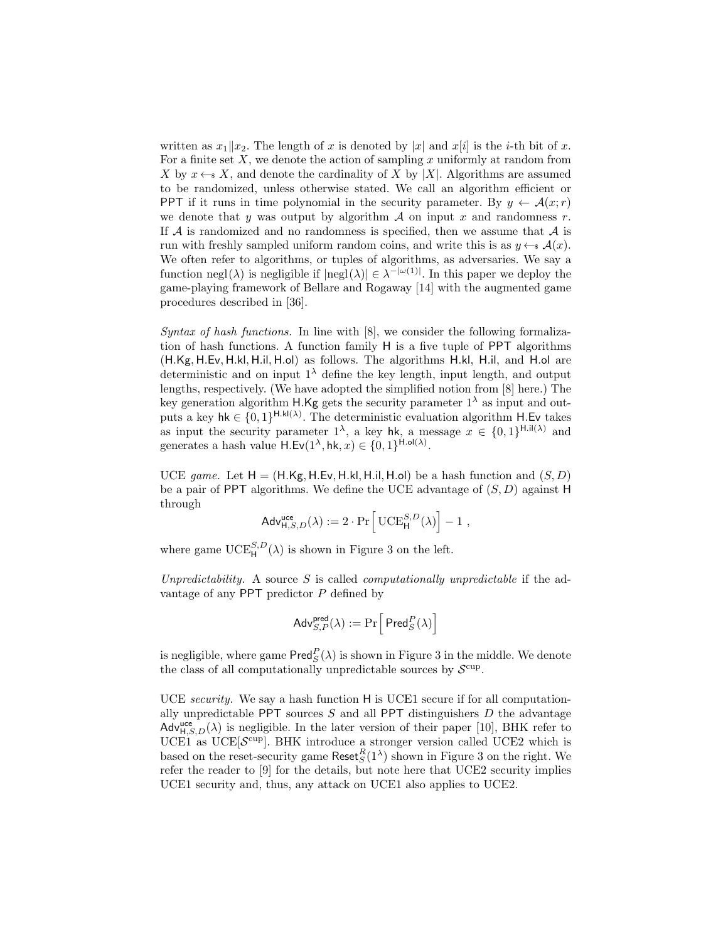written as  $x_1||x_2$ . The length of x is denoted by |x| and  $x[i]$  is the i-th bit of x. For a finite set  $X$ , we denote the action of sampling x uniformly at random from X by  $x \leftarrow s X$ , and denote the cardinality of X by |X|. Algorithms are assumed to be randomized, unless otherwise stated. We call an algorithm efficient or **PPT** if it runs in time polynomial in the security parameter. By  $y \leftarrow \mathcal{A}(x; r)$ we denote that y was output by algorithm  $A$  on input x and randomness r. If A is randomized and no randomness is specified, then we assume that  $\mathcal A$  is run with freshly sampled uniform random coins, and write this is as  $y \leftarrow s \mathcal{A}(x)$ . We often refer to algorithms, or tuples of algorithms, as adversaries. We say a function negl( $\lambda$ ) is negligible if  $|negl(\lambda)| \in \lambda^{-|\omega(1)|}$ . In this paper we deploy the game-playing framework of Bellare and Rogaway [14] with the augmented game procedures described in [36].

Syntax of hash functions. In line with  $[8]$ , we consider the following formalization of hash functions. A function family H is a five tuple of PPT algorithms (H.Kg, H.Ev, H.kl, H.il, H.ol) as follows. The algorithms H.kl, H.il, and H.ol are deterministic and on input  $1^{\lambda}$  define the key length, input length, and output lengths, respectively. (We have adopted the simplified notion from [8] here.) The key generation algorithm H.Kg gets the security parameter  $1^{\lambda}$  as input and outputs a key hk  $\in \{0,1\}^{\text{H.kl}(\lambda)}$ . The deterministic evaluation algorithm H.Ev takes as input the security parameter  $1^{\lambda}$ , a key hk, a message  $x \in \{0,1\}^{\text{H},\text{il}(\lambda)}$  and generates a hash value  $H.Ev(1^{\lambda}, hk, x) \in \{0, 1\}^{H.oI(\lambda)}$ .

UCE game. Let  $H = (H.Kg, H.Ev, H.kl, H.il, H.ol)$  be a hash function and  $(S, D)$ be a pair of PPT algorithms. We define the UCE advantage of  $(S, D)$  against H through

$$
\mathsf{Adv}^{\mathsf{uce}}_{\mathsf{H}, S, D}(\lambda) := 2 \cdot \Pr\Big[\operatorname{UCE}^{S, D}_\mathsf{H}(\lambda)\Big] - 1\ ,
$$

where game  $\mathrm{UCE}_{\mathsf{H}}^{S,D}(\lambda)$  is shown in Figure 3 on the left.

Unpredictability. A source S is called *computationally unpredictable* if the advantage of any PPT predictor P defined by

$$
\mathsf{Adv}_{S,P}^{\mathsf{pred}}(\lambda) := \Pr\Big[\mathsf{Pred}^P_S(\lambda)\Big]
$$

is negligible, where game  $\mathsf{Pred}^P_S(\lambda)$  is shown in Figure 3 in the middle. We denote the class of all computationally unpredictable sources by  $\mathcal{S}^{\text{cup}}$ .

UCE *security*. We say a hash function H is UCE1 secure if for all computationally unpredictable PPT sources  $S$  and all PPT distinguishers  $D$  the advantage Adv<sub>H,S,D</sub>( $\lambda$ ) is negligible. In the later version of their paper [10], BHK refer to UCE1 as UCE $[\mathcal{S}^{\text{cup}}]$ . BHK introduce a stronger version called UCE2 which is based on the reset-security game  $\text{Reset}_{S}^{R}(1^{\lambda})$  shown in Figure 3 on the right. We refer the reader to [9] for the details, but note here that UCE2 security implies UCE1 security and, thus, any attack on UCE1 also applies to UCE2.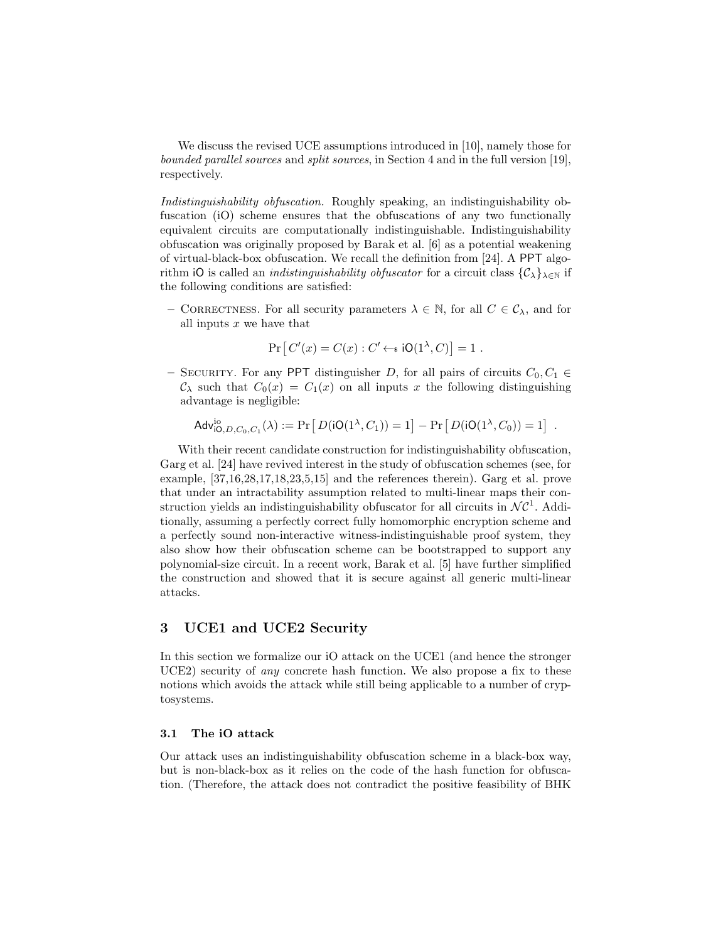We discuss the revised UCE assumptions introduced in [10], namely those for bounded parallel sources and split sources, in Section 4 and in the full version [19], respectively.

Indistinguishability obfuscation. Roughly speaking, an indistinguishability obfuscation (iO) scheme ensures that the obfuscations of any two functionally equivalent circuits are computationally indistinguishable. Indistinguishability obfuscation was originally proposed by Barak et al. [6] as a potential weakening of virtual-black-box obfuscation. We recall the definition from [24]. A PPT algorithm iO is called an *indistinguishability obfuscator* for a circuit class  $\{\mathcal{C}_\lambda\}_{\lambda\in\mathbb{N}}$  if the following conditions are satisfied:

– CORRECTNESS. For all security parameters  $\lambda \in \mathbb{N}$ , for all  $C \in \mathcal{C}_{\lambda}$ , and for all inputs  $x$  we have that

$$
\Pr[C'(x) = C(x) : C' \leftarrow \text{so}(1^{\lambda}, C)] = 1.
$$

– SECURITY. For any PPT distinguisher D, for all pairs of circuits  $C_0, C_1 \in$  $\mathcal{C}_{\lambda}$  such that  $C_0(x) = C_1(x)$  on all inputs x the following distinguishing advantage is negligible:

$$
\mathsf{Adv}_{i\mathsf{O},D,C_0,C_1}^{io}(\lambda) := \Pr \big[ \, D(i\mathsf{O}(1^{\lambda},C_1)) = 1 \big] - \Pr \big[ \, D(i\mathsf{O}(1^{\lambda},C_0)) = 1 \big] \; .
$$

With their recent candidate construction for indistinguishability obfuscation, Garg et al. [24] have revived interest in the study of obfuscation schemes (see, for example, [37,16,28,17,18,23,5,15] and the references therein). Garg et al. prove that under an intractability assumption related to multi-linear maps their construction yields an indistinguishability obfuscator for all circuits in  $\mathcal{NC}^1$ . Additionally, assuming a perfectly correct fully homomorphic encryption scheme and a perfectly sound non-interactive witness-indistinguishable proof system, they also show how their obfuscation scheme can be bootstrapped to support any polynomial-size circuit. In a recent work, Barak et al. [5] have further simplified the construction and showed that it is secure against all generic multi-linear attacks.

## 3 UCE1 and UCE2 Security

In this section we formalize our iO attack on the UCE1 (and hence the stronger UCE2) security of *any* concrete hash function. We also propose a fix to these notions which avoids the attack while still being applicable to a number of cryptosystems.

#### 3.1 The iO attack

Our attack uses an indistinguishability obfuscation scheme in a black-box way, but is non-black-box as it relies on the code of the hash function for obfuscation. (Therefore, the attack does not contradict the positive feasibility of BHK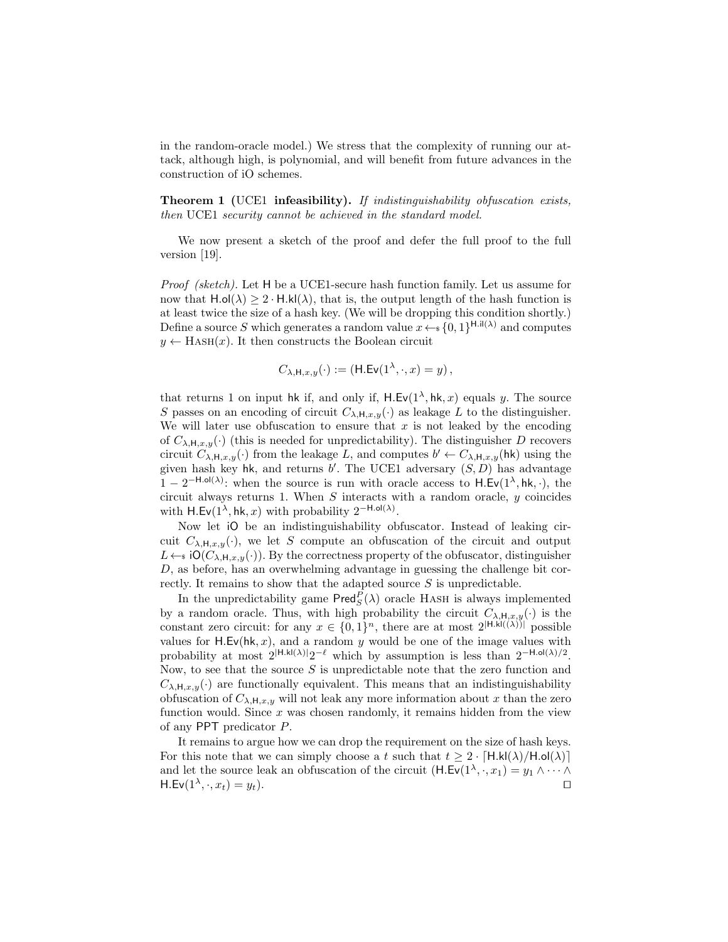in the random-oracle model.) We stress that the complexity of running our attack, although high, is polynomial, and will benefit from future advances in the construction of iO schemes.

**Theorem 1** (UCE1 infeasibility). If indistinguishability obfuscation exists, then UCE1 security cannot be achieved in the standard model.

We now present a sketch of the proof and defer the full proof to the full version [19].

Proof (sketch). Let H be a UCE1-secure hash function family. Let us assume for now that  $H \cdot ol(\lambda) \geq 2 \cdot H \cdot kl(\lambda)$ , that is, the output length of the hash function is at least twice the size of a hash key. (We will be dropping this condition shortly.) Define a source S which generates a random value  $x \leftarrow s \{0,1\}^{\text{H.i}(\lambda)}$  and computes  $y \leftarrow$  HASH $(x)$ . It then constructs the Boolean circuit

$$
C_{\lambda,\mathsf{H},x,y}(\cdot) := (\mathsf{H}.\mathsf{Ev}(1^{\lambda},\cdot,x) = y),
$$

that returns 1 on input hk if, and only if,  $H.Ev(1<sup>\lambda</sup>, hk, x)$  equals y. The source S passes on an encoding of circuit  $C_{\lambda,\mathsf{H},x,y}(\cdot)$  as leakage L to the distinguisher. We will later use obfuscation to ensure that  $x$  is not leaked by the encoding of  $C_{\lambda,H,x,y}(\cdot)$  (this is needed for unpredictability). The distinguisher D recovers circuit  $C_{\lambda,\mathsf{H},x,y}(\cdot)$  from the leakage L, and computes  $b' \leftarrow C_{\lambda,\mathsf{H},x,y}(\mathsf{hk})$  using the given hash key hk, and returns  $b'$ . The UCE1 adversary  $(S, D)$  has advantage  $1 - 2^{-H \cdot ol(\lambda)}$ : when the source is run with oracle access to  $H.Ev(1^{\lambda}, hk, \cdot)$ , the circuit always returns 1. When  $S$  interacts with a random oracle,  $y$  coincides with H.Ev( $1^{\lambda}$ , hk, x) with probability  $2^{-H \cdot ol(\lambda)}$ .

Now let iO be an indistinguishability obfuscator. Instead of leaking circuit  $C_{\lambda,\mathsf{H},x,y}(\cdot)$ , we let S compute an obfuscation of the circuit and output  $L \leftarrow \{i \in C_{\lambda,H,x,y}(\cdot)\}.$  By the correctness property of the obfuscator, distinguisher D, as before, has an overwhelming advantage in guessing the challenge bit correctly. It remains to show that the adapted source  $S$  is unpredictable.

In the unpredictability game  $\mathsf{Pred}^P_S(\lambda)$  oracle HASH is always implemented by a random oracle. Thus, with high probability the circuit  $C_{\lambda,\mathsf{H},x,y}(\cdot)$  is the constant zero circuit: for any  $x \in \{0,1\}^n$ , there are at most  $2^{|H_k(x)|}$  possible values for  $H.Ev(hk, x)$ , and a random y would be one of the image values with probability at most  $2^{|H.kl(\lambda)|}2^{-\ell}$  which by assumption is less than  $2^{-H.ol(\lambda)/2}$ . Now, to see that the source  $S$  is unpredictable note that the zero function and  $C_{\lambda,\mathsf{H},x,y}(\cdot)$  are functionally equivalent. This means that an indistinguishability obfuscation of  $C_{\lambda,H,x,y}$  will not leak any more information about x than the zero function would. Since  $x$  was chosen randomly, it remains hidden from the view of any PPT predicator P.

It remains to argue how we can drop the requirement on the size of hash keys. For this note that we can simply choose a t such that  $t > 2 \cdot [H.kl(\lambda)/H.ol(\lambda)]$ and let the source leak an obfuscation of the circuit  $(H.Ev(1^{\lambda}, \cdot, x_1) = y_1 \wedge \cdots \wedge$  $H.Ev(1^{\lambda}, \cdot, x_t) = y_t$ .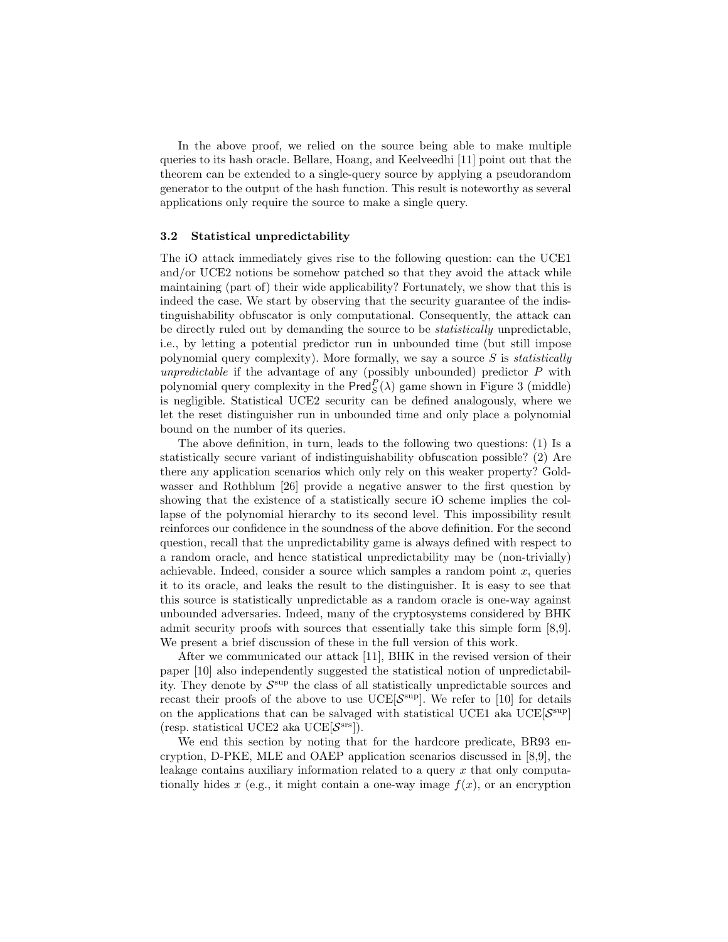In the above proof, we relied on the source being able to make multiple queries to its hash oracle. Bellare, Hoang, and Keelveedhi [11] point out that the theorem can be extended to a single-query source by applying a pseudorandom generator to the output of the hash function. This result is noteworthy as several applications only require the source to make a single query.

#### 3.2 Statistical unpredictability

The iO attack immediately gives rise to the following question: can the UCE1 and/or UCE2 notions be somehow patched so that they avoid the attack while maintaining (part of) their wide applicability? Fortunately, we show that this is indeed the case. We start by observing that the security guarantee of the indistinguishability obfuscator is only computational. Consequently, the attack can be directly ruled out by demanding the source to be statistically unpredictable, i.e., by letting a potential predictor run in unbounded time (but still impose polynomial query complexity). More formally, we say a source  $S$  is *statistically* unpredictable if the advantage of any (possibly unbounded) predictor  $P$  with polynomial query complexity in the  $\text{Pred}_{S}^{P}(\lambda)$  game shown in Figure 3 (middle) is negligible. Statistical UCE2 security can be defined analogously, where we let the reset distinguisher run in unbounded time and only place a polynomial bound on the number of its queries.

The above definition, in turn, leads to the following two questions: (1) Is a statistically secure variant of indistinguishability obfuscation possible? (2) Are there any application scenarios which only rely on this weaker property? Goldwasser and Rothblum [26] provide a negative answer to the first question by showing that the existence of a statistically secure iO scheme implies the collapse of the polynomial hierarchy to its second level. This impossibility result reinforces our confidence in the soundness of the above definition. For the second question, recall that the unpredictability game is always defined with respect to a random oracle, and hence statistical unpredictability may be (non-trivially) achievable. Indeed, consider a source which samples a random point  $x$ , queries it to its oracle, and leaks the result to the distinguisher. It is easy to see that this source is statistically unpredictable as a random oracle is one-way against unbounded adversaries. Indeed, many of the cryptosystems considered by BHK admit security proofs with sources that essentially take this simple form [8,9]. We present a brief discussion of these in the full version of this work.

After we communicated our attack [11], BHK in the revised version of their paper [10] also independently suggested the statistical notion of unpredictability. They denote by  $S^{\text{sup}}$  the class of all statistically unpredictable sources and recast their proofs of the above to use  $\text{UCE}[\mathcal{S}^{\text{sup}}]$ . We refer to [10] for details on the applications that can be salvaged with statistical UCE1 aka  $\text{UCE}[\mathcal{S}^{\text{sup}}]$ (resp. statistical UCE2 aka UCE $[\mathcal{S}^{srs}].$ 

We end this section by noting that for the hardcore predicate, BR93 encryption, D-PKE, MLE and OAEP application scenarios discussed in [8,9], the leakage contains auxiliary information related to a query x that only computationally hides x (e.g., it might contain a one-way image  $f(x)$ , or an encryption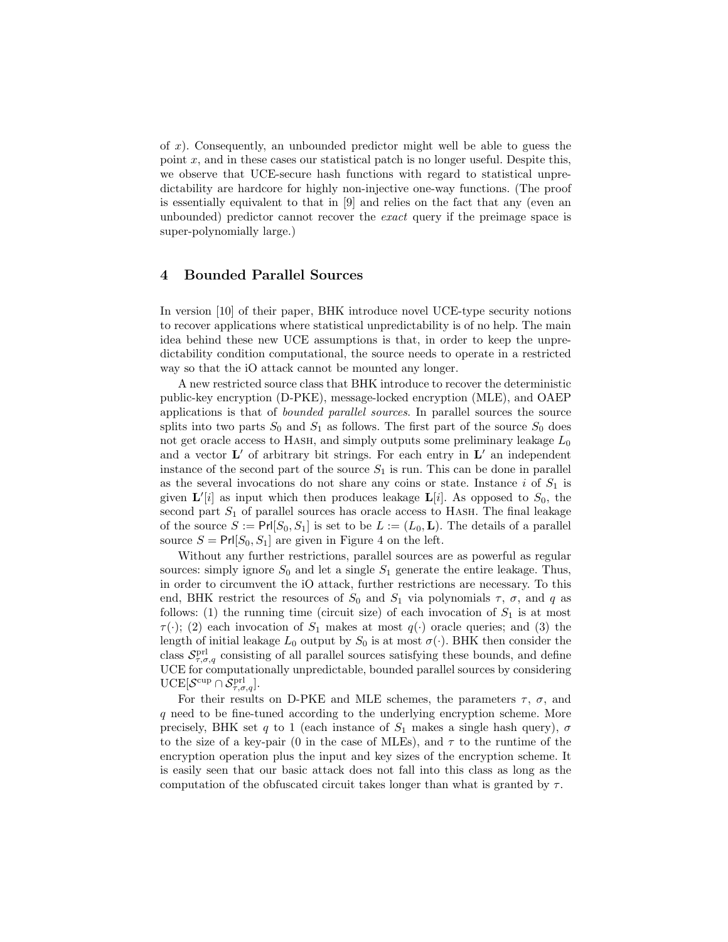of x). Consequently, an unbounded predictor might well be able to guess the point  $x$ , and in these cases our statistical patch is no longer useful. Despite this, we observe that UCE-secure hash functions with regard to statistical unpredictability are hardcore for highly non-injective one-way functions. (The proof is essentially equivalent to that in [9] and relies on the fact that any (even an unbounded) predictor cannot recover the exact query if the preimage space is super-polynomially large.)

## 4 Bounded Parallel Sources

In version [10] of their paper, BHK introduce novel UCE-type security notions to recover applications where statistical unpredictability is of no help. The main idea behind these new UCE assumptions is that, in order to keep the unpredictability condition computational, the source needs to operate in a restricted way so that the iO attack cannot be mounted any longer.

A new restricted source class that BHK introduce to recover the deterministic public-key encryption (D-PKE), message-locked encryption (MLE), and OAEP applications is that of bounded parallel sources. In parallel sources the source splits into two parts  $S_0$  and  $S_1$  as follows. The first part of the source  $S_0$  does not get oracle access to HASH, and simply outputs some preliminary leakage  $L_0$ and a vector  $L'$  of arbitrary bit strings. For each entry in  $L'$  an independent instance of the second part of the source  $S_1$  is run. This can be done in parallel as the several invocations do not share any coins or state. Instance  $i$  of  $S_1$  is given  $\mathbf{L}'[i]$  as input which then produces leakage  $\mathbf{L}[i]$ . As opposed to  $S_0$ , the second part  $S_1$  of parallel sources has oracle access to HASH. The final leakage of the source  $S := Pr[S_0, S_1]$  is set to be  $L := (L_0, L)$ . The details of a parallel source  $S = Pr[S_0, S_1]$  are given in Figure 4 on the left.

Without any further restrictions, parallel sources are as powerful as regular sources: simply ignore  $S_0$  and let a single  $S_1$  generate the entire leakage. Thus, in order to circumvent the iO attack, further restrictions are necessary. To this end, BHK restrict the resources of  $S_0$  and  $S_1$  via polynomials  $\tau$ ,  $\sigma$ , and q as follows: (1) the running time (circuit size) of each invocation of  $S_1$  is at most  $\tau(\cdot)$ ; (2) each invocation of  $S_1$  makes at most  $q(\cdot)$  oracle queries; and (3) the length of initial leakage  $L_0$  output by  $S_0$  is at most  $\sigma(\cdot)$ . BHK then consider the class  $S_{\tau,\sigma,q}^{\text{prl}}$  consisting of all parallel sources satisfying these bounds, and define UCE for computationally unpredictable, bounded parallel sources by considering  $\mathrm{UCE}[\mathcal{S}^{\mathrm{cup}} \cap \mathcal{S}^{\mathrm{prl}}_{\tau,\sigma,q}].$ 

For their results on D-PKE and MLE schemes, the parameters  $\tau$ ,  $\sigma$ , and q need to be fine-tuned according to the underlying encryption scheme. More precisely, BHK set q to 1 (each instance of  $S_1$  makes a single hash query),  $\sigma$ to the size of a key-pair (0 in the case of MLEs), and  $\tau$  to the runtime of the encryption operation plus the input and key sizes of the encryption scheme. It is easily seen that our basic attack does not fall into this class as long as the computation of the obfuscated circuit takes longer than what is granted by  $\tau$ .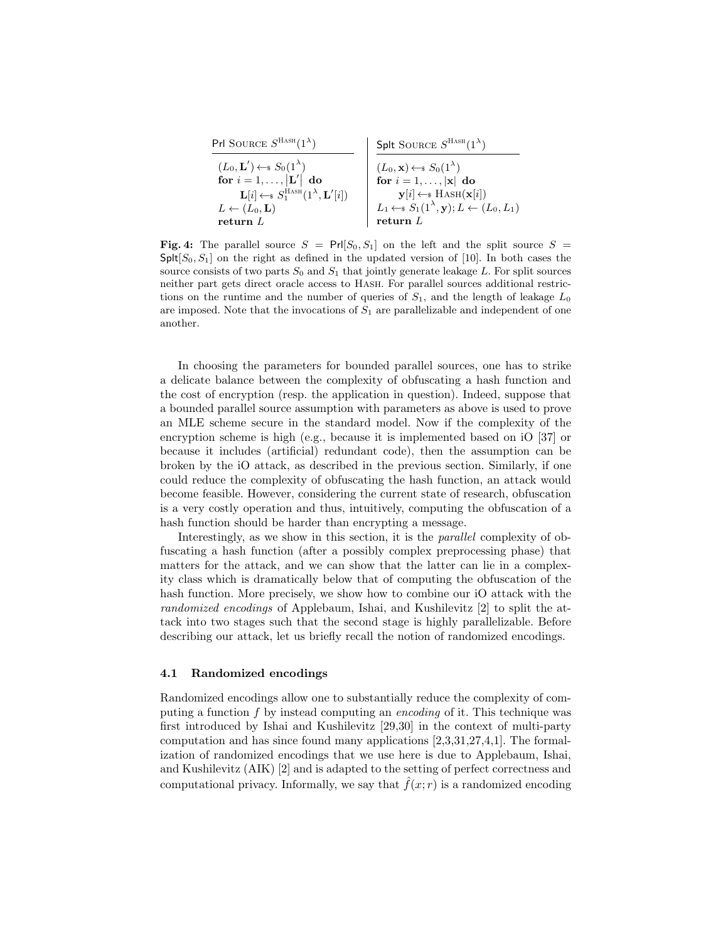| Prl SOURCE $S^{\text{HasH}}(1^{\lambda})$                                   | Splt SOURCE $S^{\text{HASH}}(1^{\lambda})$                                          |
|-----------------------------------------------------------------------------|-------------------------------------------------------------------------------------|
| $(L_0, L') \leftarrow s S_0(1^{\lambda})$                                   | $(L_0, \mathbf{x}) \leftarrow s S_0(1^{\lambda})$<br>for $i = 1, ,  \mathbf{x} $ do |
| for $i = 1, \ldots,  {\bf L}' $ do                                          |                                                                                     |
| $\mathbf{L}[i] \leftarrow s S_1^{\text{HASH}}(1^{\lambda}, \mathbf{L}'[i])$ | $y[i] \leftarrow s$ HASH $(x[i])$                                                   |
| $L \leftarrow (L_0, L)$                                                     | $L_1 \leftarrow s S_1(1^{\lambda}, \mathbf{y}); L \leftarrow (L_0, L_1)$            |
| return $L$                                                                  | return $L$                                                                          |

Fig. 4: The parallel source  $S = Pr[S_0, S_1]$  on the left and the split source  $S =$  $Splt[S_0, S_1]$  on the right as defined in the updated version of [10]. In both cases the source consists of two parts  $S_0$  and  $S_1$  that jointly generate leakage L. For split sources neither part gets direct oracle access to Hash. For parallel sources additional restrictions on the runtime and the number of queries of  $S_1$ , and the length of leakage  $L_0$ are imposed. Note that the invocations of  $S_1$  are parallelizable and independent of one another.

In choosing the parameters for bounded parallel sources, one has to strike a delicate balance between the complexity of obfuscating a hash function and the cost of encryption (resp. the application in question). Indeed, suppose that a bounded parallel source assumption with parameters as above is used to prove an MLE scheme secure in the standard model. Now if the complexity of the encryption scheme is high (e.g., because it is implemented based on iO [37] or because it includes (artificial) redundant code), then the assumption can be broken by the iO attack, as described in the previous section. Similarly, if one could reduce the complexity of obfuscating the hash function, an attack would become feasible. However, considering the current state of research, obfuscation is a very costly operation and thus, intuitively, computing the obfuscation of a hash function should be harder than encrypting a message.

Interestingly, as we show in this section, it is the parallel complexity of obfuscating a hash function (after a possibly complex preprocessing phase) that matters for the attack, and we can show that the latter can lie in a complexity class which is dramatically below that of computing the obfuscation of the hash function. More precisely, we show how to combine our iO attack with the randomized encodings of Applebaum, Ishai, and Kushilevitz [2] to split the attack into two stages such that the second stage is highly parallelizable. Before describing our attack, let us briefly recall the notion of randomized encodings.

## 4.1 Randomized encodings

Randomized encodings allow one to substantially reduce the complexity of computing a function f by instead computing an encoding of it. This technique was first introduced by Ishai and Kushilevitz [29,30] in the context of multi-party computation and has since found many applications [2,3,31,27,4,1]. The formalization of randomized encodings that we use here is due to Applebaum, Ishai, and Kushilevitz (AIK) [2] and is adapted to the setting of perfect correctness and computational privacy. Informally, we say that  $\hat{f}(x; r)$  is a randomized encoding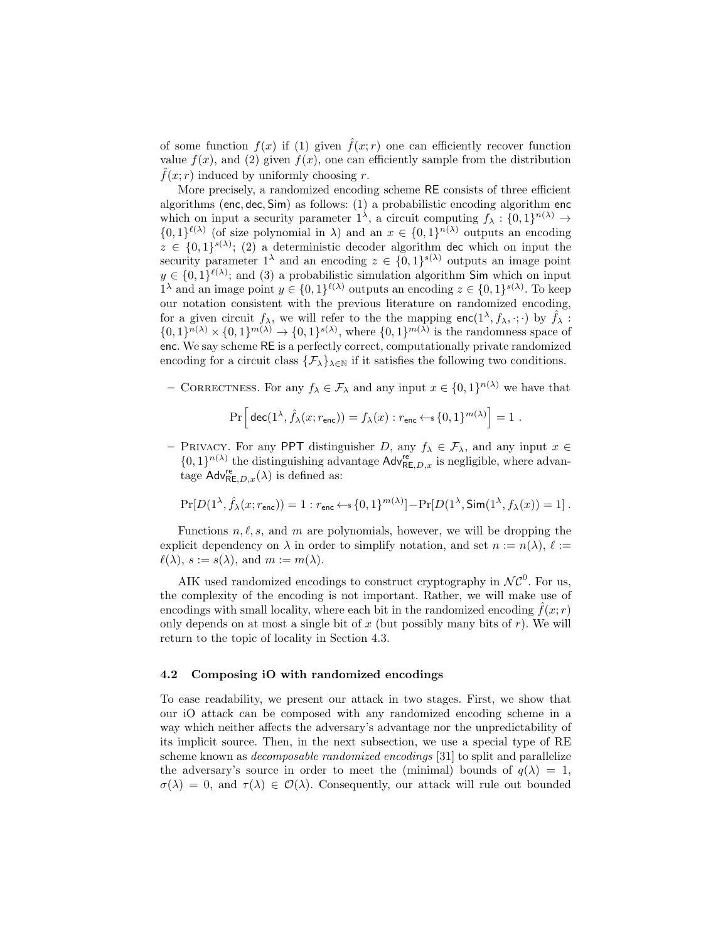of some function  $f(x)$  if (1) given  $\hat{f}(x; r)$  one can efficiently recover function value  $f(x)$ , and (2) given  $f(x)$ , one can efficiently sample from the distribution  $\hat{f}(x; r)$  induced by uniformly choosing r.

More precisely, a randomized encoding scheme RE consists of three efficient algorithms (enc, dec, Sim) as follows: (1) a probabilistic encoding algorithm enc which on input a security parameter  $1^{\lambda}$ , a circuit computing  $f_{\lambda}: \{0,1\}^{n(\lambda)} \to$  $\{0,1\}^{\ell(\lambda)}$  (of size polynomial in  $\lambda$ ) and an  $x \in \{0,1\}^{n(\lambda)}$  outputs an encoding  $z \in \{0,1\}^{s(\lambda)}$ ; (2) a deterministic decoder algorithm dec which on input the security parameter  $1^{\lambda}$  and an encoding  $z \in \{0,1\}^{s(\lambda)}$  outputs an image point  $y \in \{0,1\}^{\ell(\lambda)}$ ; and (3) a probabilistic simulation algorithm Sim which on input  $1^{\lambda}$  and an image point  $y \in \{0,1\}^{\ell(\lambda)}$  outputs an encoding  $z \in \{0,1\}^{s(\lambda)}$ . To keep our notation consistent with the previous literature on randomized encoding, for a given circuit  $f_{\lambda}$ , we will refer to the the mapping enc $(1^{\lambda}, f_{\lambda}, \cdot; \cdot)$  by  $\hat{f}_{\lambda}$ :  $\{0,1\}^{n(\lambda)} \times \{0,1\}^{m(\lambda)} \to \{0,1\}^{s(\lambda)}$ , where  $\{0,1\}^{m(\lambda)}$  is the randomness space of enc. We say scheme RE is a perfectly correct, computationally private randomized encoding for a circuit class  $\{\mathcal{F}_\lambda\}_{\lambda\in\mathbb{N}}$  if it satisfies the following two conditions.

- CORRECTNESS. For any  $f_{\lambda} \in \mathcal{F}_{\lambda}$  and any input  $x \in \{0,1\}^{n(\lambda)}$  we have that

$$
\Pr\left[\det(1^{\lambda}, \hat{f}_{\lambda}(x; r_{\text{enc}})) = f_{\lambda}(x) : r_{\text{enc}} \leftarrow \{0, 1\}^{m(\lambda)}\right] = 1.
$$

– PRIVACY. For any PPT distinguisher D, any  $f_{\lambda} \in \mathcal{F}_{\lambda}$ , and any input  $x \in$  $\{0,1\}^{n(\lambda)}$  the distinguishing advantage  $\mathsf{Adv}^{\mathsf{re}}_{\mathsf{RE},D,x}$  is negligible, where advantage  $\mathsf{Adv}^{\mathsf{re}}_{\mathsf{RE},D,x}(\lambda)$  is defined as:

$$
\Pr[D(1^{\lambda}, \hat{f}_{\lambda}(x; r_{\text{enc}})) = 1 : r_{\text{enc}} \leftarrow \{0, 1\}^{m(\lambda)}] - \Pr[D(1^{\lambda}, \text{Sim}(1^{\lambda}, f_{\lambda}(x)) = 1] .
$$

Functions  $n, \ell, s$ , and m are polynomials, however, we will be dropping the explicit dependency on  $\lambda$  in order to simplify notation, and set  $n := n(\lambda)$ ,  $\ell :=$  $\ell(\lambda), s := s(\lambda)$ , and  $m := m(\lambda)$ .

AIK used randomized encodings to construct cryptography in  $\mathcal{NC}^0$ . For us, the complexity of the encoding is not important. Rather, we will make use of encodings with small locality, where each bit in the randomized encoding  $f(x; r)$ only depends on at most a single bit of x (but possibly many bits of  $r$ ). We will return to the topic of locality in Section 4.3.

### 4.2 Composing iO with randomized encodings

To ease readability, we present our attack in two stages. First, we show that our iO attack can be composed with any randomized encoding scheme in a way which neither affects the adversary's advantage nor the unpredictability of its implicit source. Then, in the next subsection, we use a special type of RE scheme known as decomposable randomized encodings [31] to split and parallelize the adversary's source in order to meet the (minimal) bounds of  $q(\lambda) = 1$ ,  $\sigma(\lambda) = 0$ , and  $\tau(\lambda) \in \mathcal{O}(\lambda)$ . Consequently, our attack will rule out bounded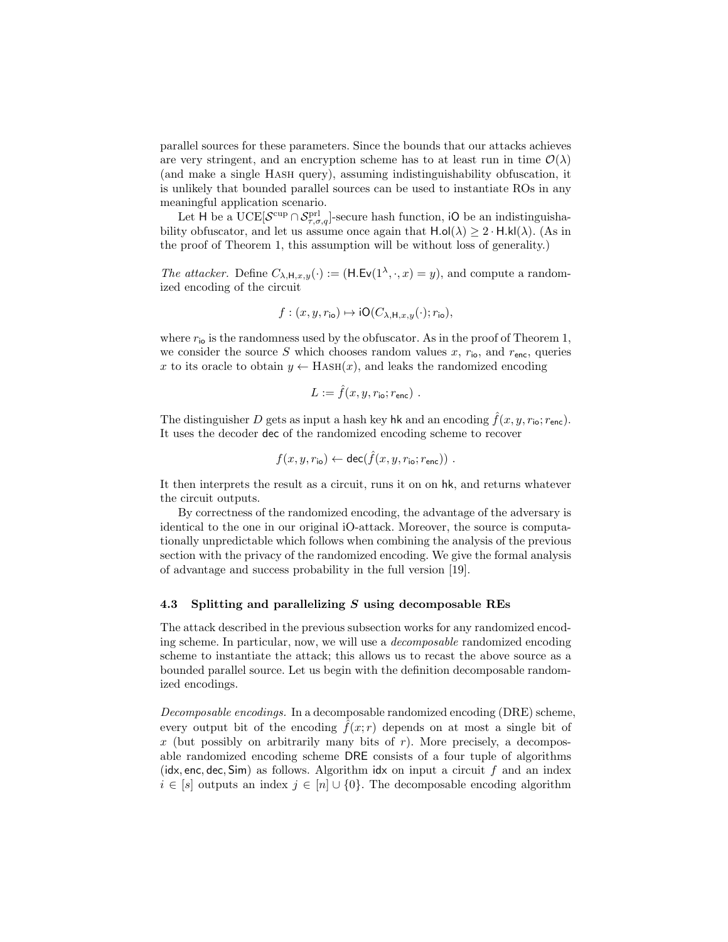parallel sources for these parameters. Since the bounds that our attacks achieves are very stringent, and an encryption scheme has to at least run in time  $\mathcal{O}(\lambda)$ (and make a single Hash query), assuming indistinguishability obfuscation, it is unlikely that bounded parallel sources can be used to instantiate ROs in any meaningful application scenario.

Let H be a UCE $[\mathcal{S}^{\text{cup}} \cap \mathcal{S}^{\text{prl}}_{\tau,\sigma,q}]$ -secure hash function, iO be an indistinguishability obfuscator, and let us assume once again that  $H \cdot ol(\lambda) \geq 2 \cdot H \cdot kl(\lambda)$ . (As in the proof of Theorem 1, this assumption will be without loss of generality.)

The attacker. Define  $C_{\lambda,\mathsf{H},x,y}(\cdot) := (\mathsf{H}.\mathsf{Ev}(1^{\lambda},\cdot,x) = y)$ , and compute a randomized encoding of the circuit

$$
f:(x, y, r_{\text{io}}) \mapsto \text{iO}(C_{\lambda, H, x, y}(\cdot); r_{\text{io}}),
$$

where  $r_{\text{io}}$  is the randomness used by the obfuscator. As in the proof of Theorem 1, we consider the source S which chooses random values x,  $r_{\text{io}}$ , and  $r_{\text{enc}}$ , queries x to its oracle to obtain  $y \leftarrow$  HASH $(x)$ , and leaks the randomized encoding

$$
L := \hat{f}(x, y, r_{\text{io}}; r_{\text{enc}}) .
$$

The distinguisher D gets as input a hash key hk and an encoding  $\hat{f}(x, y, r_{\text{io}}; r_{\text{enc}})$ . It uses the decoder dec of the randomized encoding scheme to recover

$$
f(x, y, r_{\text{io}}) \leftarrow \text{dec}(\hat{f}(x, y, r_{\text{io}}; r_{\text{enc}})) \ .
$$

It then interprets the result as a circuit, runs it on on hk, and returns whatever the circuit outputs.

By correctness of the randomized encoding, the advantage of the adversary is identical to the one in our original iO-attack. Moreover, the source is computationally unpredictable which follows when combining the analysis of the previous section with the privacy of the randomized encoding. We give the formal analysis of advantage and success probability in the full version [19].

#### 4.3 Splitting and parallelizing S using decomposable REs

The attack described in the previous subsection works for any randomized encoding scheme. In particular, now, we will use a decomposable randomized encoding scheme to instantiate the attack; this allows us to recast the above source as a bounded parallel source. Let us begin with the definition decomposable randomized encodings.

Decomposable encodings. In a decomposable randomized encoding (DRE) scheme, every output bit of the encoding  $f(x; r)$  depends on at most a single bit of x (but possibly on arbitrarily many bits of  $r$ ). More precisely, a decomposable randomized encoding scheme DRE consists of a four tuple of algorithms (idx, enc, dec, Sim) as follows. Algorithm idx on input a circuit  $f$  and an index  $i \in [s]$  outputs an index  $j \in [n] \cup \{0\}$ . The decomposable encoding algorithm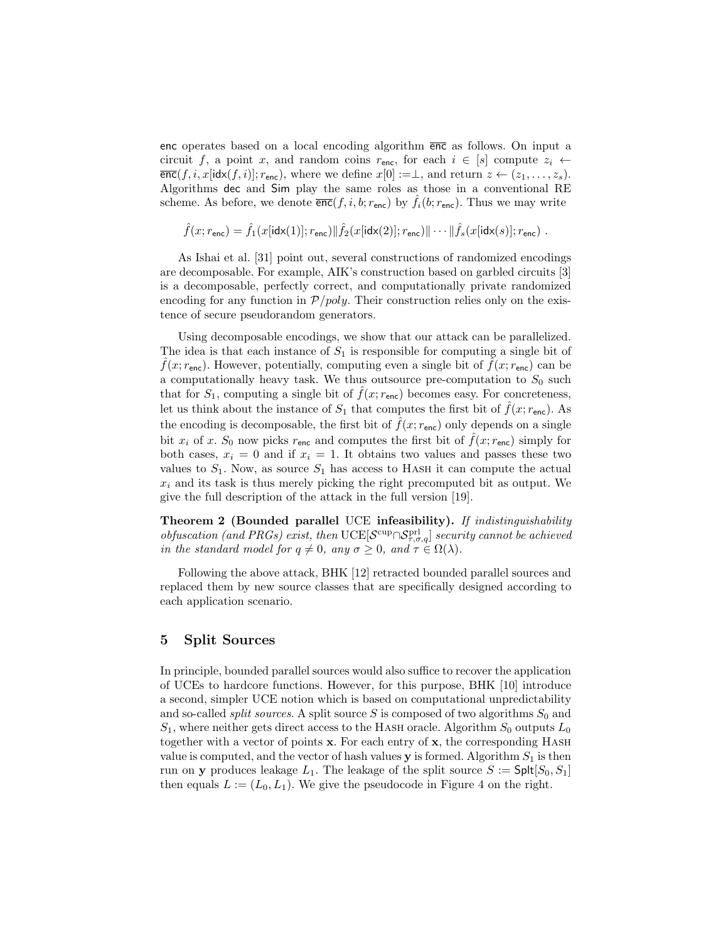enc operates based on a local encoding algorithm enc as follows. On input a circuit f, a point x, and random coins  $r_{\text{enc}}$ , for each  $i \in [s]$  compute  $z_i \leftarrow$  $\overline{\text{enc}}(f, i, x[\text{idx}(f, i)]; r_{\text{enc}})$ , where we define  $x[0] := \perp$ , and return  $z \leftarrow (z_1, \ldots, z_s)$ . Algorithms dec and Sim play the same roles as those in a conventional RE scheme. As before, we denote  $\overline{\text{enc}}(f, i, b; r_{\text{enc}})$  by  $\hat{f}_i(b; r_{\text{enc}})$ . Thus we may write

$$
\hat{f}(x;r_{\mathsf{enc}}) = \hat{f}_1(x[\mathsf{idx}(1)];r_{\mathsf{enc}}) || \hat{f}_2(x[\mathsf{idx}(2)];r_{\mathsf{enc}}) || \cdots || \hat{f}_s(x[\mathsf{idx}(s)];r_{\mathsf{enc}}) .
$$

As Ishai et al. [31] point out, several constructions of randomized encodings are decomposable. For example, AIK's construction based on garbled circuits [3] is a decomposable, perfectly correct, and computationally private randomized encoding for any function in  $P/poly$ . Their construction relies only on the existence of secure pseudorandom generators.

Using decomposable encodings, we show that our attack can be parallelized. The idea is that each instance of  $S_1$  is responsible for computing a single bit of  $\hat{f}(x; r_{\text{enc}})$ . However, potentially, computing even a single bit of  $\hat{f}(x; r_{\text{enc}})$  can be a computationally heavy task. We thus outsource pre-computation to  $S_0$  such that for  $S_1$ , computing a single bit of  $\hat{f}(x; r_{\text{enc}})$  becomes easy. For concreteness, let us think about the instance of  $S_1$  that computes the first bit of  $\hat{f}(x; r_{\text{enc}})$ . As the encoding is decomposable, the first bit of  $\hat{f}(x; r_{\text{enc}})$  only depends on a single bit  $x_i$  of x.  $S_0$  now picks  $r_{\text{enc}}$  and computes the first bit of  $\hat{f}(x; r_{\text{enc}})$  simply for both cases,  $x_i = 0$  and if  $x_i = 1$ . It obtains two values and passes these two values to  $S_1$ . Now, as source  $S_1$  has access to HASH it can compute the actual  $x_i$  and its task is thus merely picking the right precomputed bit as output. We give the full description of the attack in the full version [19].

Theorem 2 (Bounded parallel UCE infeasibility). If indistinguishability obfuscation (and PRGs) exist, then UCE $[\mathcal{S}^{\text{cup}} \cap \mathcal{S}^{\text{prl}}_{\tau,\sigma,q}]$  security cannot be achieved in the standard model for  $q \neq 0$ , any  $\sigma \geq 0$ , and  $\tau \in \Omega(\lambda)$ .

Following the above attack, BHK [12] retracted bounded parallel sources and replaced them by new source classes that are specifically designed according to each application scenario.

# 5 Split Sources

In principle, bounded parallel sources would also suffice to recover the application of UCEs to hardcore functions. However, for this purpose, BHK [10] introduce a second, simpler UCE notion which is based on computational unpredictability and so-called *split sources*. A split source S is composed of two algorithms  $S_0$  and  $S_1$ , where neither gets direct access to the HASH oracle. Algorithm  $S_0$  outputs  $L_0$ together with a vector of points  $x$ . For each entry of  $x$ , the corresponding HASH value is computed, and the vector of hash values  $y$  is formed. Algorithm  $S_1$  is then run on y produces leakage  $L_1$ . The leakage of the split source  $S := \mathsf{Splt}[S_0, S_1]$ then equals  $L := (L_0, L_1)$ . We give the pseudocode in Figure 4 on the right.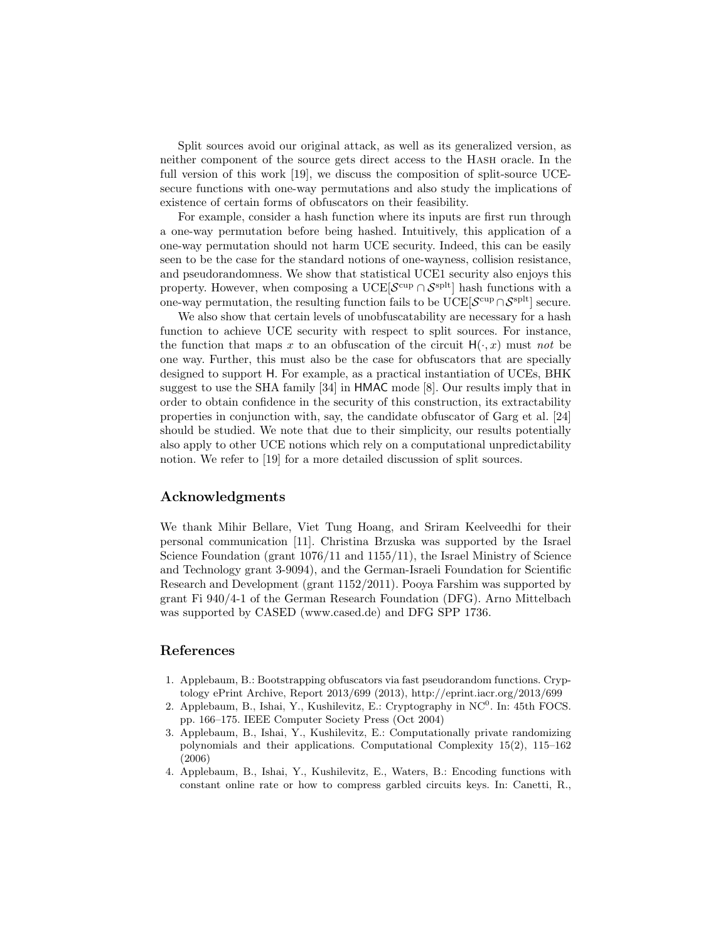Split sources avoid our original attack, as well as its generalized version, as neither component of the source gets direct access to the Hash oracle. In the full version of this work [19], we discuss the composition of split-source UCEsecure functions with one-way permutations and also study the implications of existence of certain forms of obfuscators on their feasibility.

For example, consider a hash function where its inputs are first run through a one-way permutation before being hashed. Intuitively, this application of a one-way permutation should not harm UCE security. Indeed, this can be easily seen to be the case for the standard notions of one-wayness, collision resistance, and pseudorandomness. We show that statistical UCE1 security also enjoys this property. However, when composing a UCE $[\mathcal{S}^{\text{cup}} \cap \mathcal{S}^{\text{split}}]$  hash functions with a one-way permutation, the resulting function fails to be  $\mathrm{UCE}[\mathcal{S}^{\mathrm{cup}} \cap \mathcal{S}^{\mathrm{splt}}]$  secure.

We also show that certain levels of unobfuscatability are necessary for a hash function to achieve UCE security with respect to split sources. For instance, the function that maps x to an obfuscation of the circuit  $H(\cdot, x)$  must not be one way. Further, this must also be the case for obfuscators that are specially designed to support H. For example, as a practical instantiation of UCEs, BHK suggest to use the SHA family [34] in HMAC mode [8]. Our results imply that in order to obtain confidence in the security of this construction, its extractability properties in conjunction with, say, the candidate obfuscator of Garg et al. [24] should be studied. We note that due to their simplicity, our results potentially also apply to other UCE notions which rely on a computational unpredictability notion. We refer to [19] for a more detailed discussion of split sources.

## Acknowledgments

We thank Mihir Bellare, Viet Tung Hoang, and Sriram Keelveedhi for their personal communication [11]. Christina Brzuska was supported by the Israel Science Foundation (grant 1076/11 and 1155/11), the Israel Ministry of Science and Technology grant 3-9094), and the German-Israeli Foundation for Scientific Research and Development (grant 1152/2011). Pooya Farshim was supported by grant Fi 940/4-1 of the German Research Foundation (DFG). Arno Mittelbach was supported by CASED (www.cased.de) and DFG SPP 1736.

## References

- 1. Applebaum, B.: Bootstrapping obfuscators via fast pseudorandom functions. Cryptology ePrint Archive, Report 2013/699 (2013), http://eprint.iacr.org/2013/699
- 2. Applebaum, B., Ishai, Y., Kushilevitz, E.: Cryptography in  $NC<sup>0</sup>$ . In: 45th FOCS. pp. 166–175. IEEE Computer Society Press (Oct 2004)
- 3. Applebaum, B., Ishai, Y., Kushilevitz, E.: Computationally private randomizing polynomials and their applications. Computational Complexity 15(2), 115–162 (2006)
- 4. Applebaum, B., Ishai, Y., Kushilevitz, E., Waters, B.: Encoding functions with constant online rate or how to compress garbled circuits keys. In: Canetti, R.,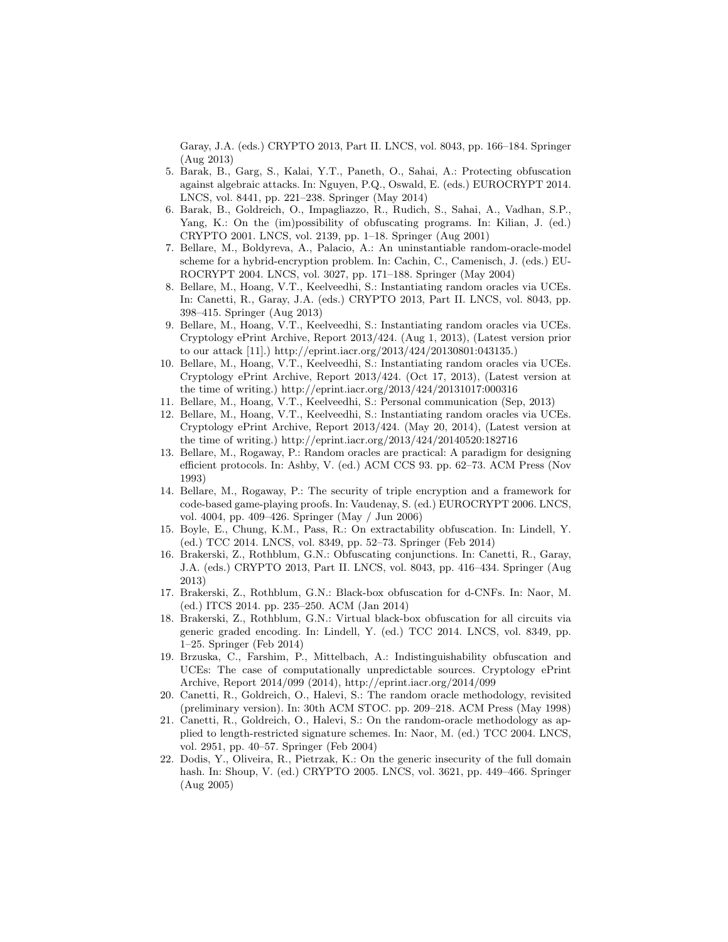Garay, J.A. (eds.) CRYPTO 2013, Part II. LNCS, vol. 8043, pp. 166–184. Springer (Aug 2013)

- 5. Barak, B., Garg, S., Kalai, Y.T., Paneth, O., Sahai, A.: Protecting obfuscation against algebraic attacks. In: Nguyen, P.Q., Oswald, E. (eds.) EUROCRYPT 2014. LNCS, vol. 8441, pp. 221–238. Springer (May 2014)
- 6. Barak, B., Goldreich, O., Impagliazzo, R., Rudich, S., Sahai, A., Vadhan, S.P., Yang, K.: On the (im)possibility of obfuscating programs. In: Kilian, J. (ed.) CRYPTO 2001. LNCS, vol. 2139, pp. 1–18. Springer (Aug 2001)
- 7. Bellare, M., Boldyreva, A., Palacio, A.: An uninstantiable random-oracle-model scheme for a hybrid-encryption problem. In: Cachin, C., Camenisch, J. (eds.) EU-ROCRYPT 2004. LNCS, vol. 3027, pp. 171–188. Springer (May 2004)
- 8. Bellare, M., Hoang, V.T., Keelveedhi, S.: Instantiating random oracles via UCEs. In: Canetti, R., Garay, J.A. (eds.) CRYPTO 2013, Part II. LNCS, vol. 8043, pp. 398–415. Springer (Aug 2013)
- 9. Bellare, M., Hoang, V.T., Keelveedhi, S.: Instantiating random oracles via UCEs. Cryptology ePrint Archive, Report 2013/424. (Aug 1, 2013), (Latest version prior to our attack [11].) http://eprint.iacr.org/2013/424/20130801:043135.)
- 10. Bellare, M., Hoang, V.T., Keelveedhi, S.: Instantiating random oracles via UCEs. Cryptology ePrint Archive, Report 2013/424. (Oct 17, 2013), (Latest version at the time of writing.) http://eprint.iacr.org/2013/424/20131017:000316
- 11. Bellare, M., Hoang, V.T., Keelveedhi, S.: Personal communication (Sep, 2013)
- 12. Bellare, M., Hoang, V.T., Keelveedhi, S.: Instantiating random oracles via UCEs. Cryptology ePrint Archive, Report 2013/424. (May 20, 2014), (Latest version at the time of writing.) http://eprint.iacr.org/2013/424/20140520:182716
- 13. Bellare, M., Rogaway, P.: Random oracles are practical: A paradigm for designing efficient protocols. In: Ashby, V. (ed.) ACM CCS 93. pp. 62–73. ACM Press (Nov 1993)
- 14. Bellare, M., Rogaway, P.: The security of triple encryption and a framework for code-based game-playing proofs. In: Vaudenay, S. (ed.) EUROCRYPT 2006. LNCS, vol. 4004, pp. 409–426. Springer (May / Jun 2006)
- 15. Boyle, E., Chung, K.M., Pass, R.: On extractability obfuscation. In: Lindell, Y. (ed.) TCC 2014. LNCS, vol. 8349, pp. 52–73. Springer (Feb 2014)
- 16. Brakerski, Z., Rothblum, G.N.: Obfuscating conjunctions. In: Canetti, R., Garay, J.A. (eds.) CRYPTO 2013, Part II. LNCS, vol. 8043, pp. 416–434. Springer (Aug 2013)
- 17. Brakerski, Z., Rothblum, G.N.: Black-box obfuscation for d-CNFs. In: Naor, M. (ed.) ITCS 2014. pp. 235–250. ACM (Jan 2014)
- 18. Brakerski, Z., Rothblum, G.N.: Virtual black-box obfuscation for all circuits via generic graded encoding. In: Lindell, Y. (ed.) TCC 2014. LNCS, vol. 8349, pp. 1–25. Springer (Feb 2014)
- 19. Brzuska, C., Farshim, P., Mittelbach, A.: Indistinguishability obfuscation and UCEs: The case of computationally unpredictable sources. Cryptology ePrint Archive, Report 2014/099 (2014), http://eprint.iacr.org/2014/099
- 20. Canetti, R., Goldreich, O., Halevi, S.: The random oracle methodology, revisited (preliminary version). In: 30th ACM STOC. pp. 209–218. ACM Press (May 1998)
- 21. Canetti, R., Goldreich, O., Halevi, S.: On the random-oracle methodology as applied to length-restricted signature schemes. In: Naor, M. (ed.) TCC 2004. LNCS, vol. 2951, pp. 40–57. Springer (Feb 2004)
- 22. Dodis, Y., Oliveira, R., Pietrzak, K.: On the generic insecurity of the full domain hash. In: Shoup, V. (ed.) CRYPTO 2005. LNCS, vol. 3621, pp. 449–466. Springer (Aug 2005)